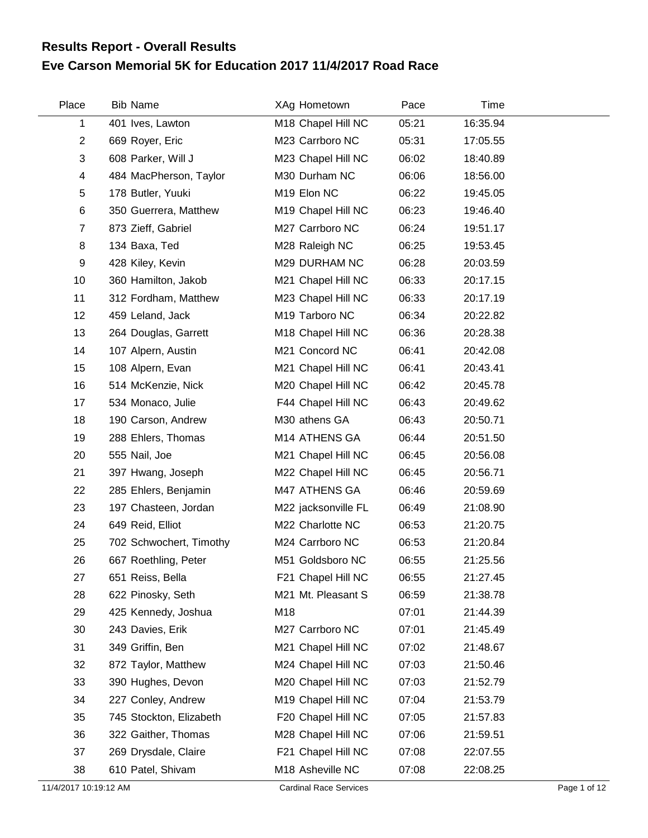## **Eve Carson Memorial 5K for Education 2017 11/4/2017 Road Race Results Report - Overall Results**

| Place          | <b>Bib Name</b>         | XAg Hometown        | Pace  | Time     |  |
|----------------|-------------------------|---------------------|-------|----------|--|
| 1              | 401 Ives, Lawton        | M18 Chapel Hill NC  | 05:21 | 16:35.94 |  |
| $\overline{2}$ | 669 Royer, Eric         | M23 Carrboro NC     | 05:31 | 17:05.55 |  |
| 3              | 608 Parker, Will J      | M23 Chapel Hill NC  | 06:02 | 18:40.89 |  |
| 4              | 484 MacPherson, Taylor  | M30 Durham NC       | 06:06 | 18:56.00 |  |
| 5              | 178 Butler, Yuuki       | M19 Elon NC         | 06:22 | 19:45.05 |  |
| 6              | 350 Guerrera, Matthew   | M19 Chapel Hill NC  | 06:23 | 19:46.40 |  |
| $\overline{7}$ | 873 Zieff, Gabriel      | M27 Carrboro NC     | 06:24 | 19:51.17 |  |
| 8              | 134 Baxa, Ted           | M28 Raleigh NC      | 06:25 | 19:53.45 |  |
| 9              | 428 Kiley, Kevin        | M29 DURHAM NC       | 06:28 | 20:03.59 |  |
| 10             | 360 Hamilton, Jakob     | M21 Chapel Hill NC  | 06:33 | 20:17.15 |  |
| 11             | 312 Fordham, Matthew    | M23 Chapel Hill NC  | 06:33 | 20:17.19 |  |
| 12             | 459 Leland, Jack        | M19 Tarboro NC      | 06:34 | 20:22.82 |  |
| 13             | 264 Douglas, Garrett    | M18 Chapel Hill NC  | 06:36 | 20:28.38 |  |
| 14             | 107 Alpern, Austin      | M21 Concord NC      | 06:41 | 20:42.08 |  |
| 15             | 108 Alpern, Evan        | M21 Chapel Hill NC  | 06:41 | 20:43.41 |  |
| 16             | 514 McKenzie, Nick      | M20 Chapel Hill NC  | 06:42 | 20:45.78 |  |
| 17             | 534 Monaco, Julie       | F44 Chapel Hill NC  | 06:43 | 20:49.62 |  |
| 18             | 190 Carson, Andrew      | M30 athens GA       | 06:43 | 20:50.71 |  |
| 19             | 288 Ehlers, Thomas      | M14 ATHENS GA       | 06:44 | 20:51.50 |  |
| 20             | 555 Nail, Joe           | M21 Chapel Hill NC  | 06:45 | 20:56.08 |  |
| 21             | 397 Hwang, Joseph       | M22 Chapel Hill NC  | 06:45 | 20:56.71 |  |
| 22             | 285 Ehlers, Benjamin    | M47 ATHENS GA       | 06:46 | 20:59.69 |  |
| 23             | 197 Chasteen, Jordan    | M22 jacksonville FL | 06:49 | 21:08.90 |  |
| 24             | 649 Reid, Elliot        | M22 Charlotte NC    | 06:53 | 21:20.75 |  |
| 25             | 702 Schwochert, Timothy | M24 Carrboro NC     | 06:53 | 21:20.84 |  |
| 26             | 667 Roethling, Peter    | M51 Goldsboro NC    | 06:55 | 21:25.56 |  |
| 27             | 651 Reiss, Bella        | F21 Chapel Hill NC  | 06:55 | 21:27.45 |  |
| 28             | 622 Pinosky, Seth       | M21 Mt. Pleasant S  | 06:59 | 21:38.78 |  |
| 29             | 425 Kennedy, Joshua     | M18                 | 07:01 | 21:44.39 |  |
| 30             | 243 Davies, Erik        | M27 Carrboro NC     | 07:01 | 21:45.49 |  |
| 31             | 349 Griffin, Ben        | M21 Chapel Hill NC  | 07:02 | 21:48.67 |  |
| 32             | 872 Taylor, Matthew     | M24 Chapel Hill NC  | 07:03 | 21:50.46 |  |
| 33             | 390 Hughes, Devon       | M20 Chapel Hill NC  | 07:03 | 21:52.79 |  |
| 34             | 227 Conley, Andrew      | M19 Chapel Hill NC  | 07:04 | 21:53.79 |  |
| 35             | 745 Stockton, Elizabeth | F20 Chapel Hill NC  | 07:05 | 21:57.83 |  |
| 36             | 322 Gaither, Thomas     | M28 Chapel Hill NC  | 07:06 | 21:59.51 |  |
| 37             | 269 Drysdale, Claire    | F21 Chapel Hill NC  | 07:08 | 22:07.55 |  |
| 38             | 610 Patel, Shivam       | M18 Asheville NC    | 07:08 | 22:08.25 |  |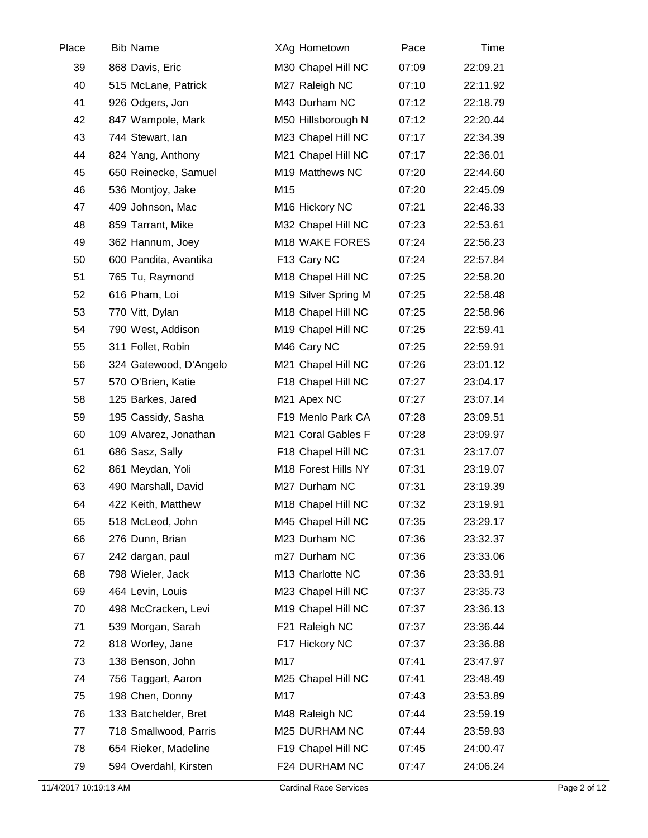| Place | <b>Bib Name</b>        | XAg Hometown                   | Pace  | Time     |  |
|-------|------------------------|--------------------------------|-------|----------|--|
| 39    | 868 Davis, Eric        | M30 Chapel Hill NC             | 07:09 | 22:09.21 |  |
| 40    | 515 McLane, Patrick    | M27 Raleigh NC                 | 07:10 | 22:11.92 |  |
| 41    | 926 Odgers, Jon        | M43 Durham NC                  | 07:12 | 22:18.79 |  |
| 42    | 847 Wampole, Mark      | M50 Hillsborough N             | 07:12 | 22:20.44 |  |
| 43    | 744 Stewart, Ian       | M23 Chapel Hill NC             | 07:17 | 22:34.39 |  |
| 44    | 824 Yang, Anthony      | M21 Chapel Hill NC             | 07:17 | 22:36.01 |  |
| 45    | 650 Reinecke, Samuel   | M19 Matthews NC                | 07:20 | 22:44.60 |  |
| 46    | 536 Montjoy, Jake      | M15                            | 07:20 | 22:45.09 |  |
| 47    | 409 Johnson, Mac       | M16 Hickory NC                 | 07:21 | 22:46.33 |  |
| 48    | 859 Tarrant, Mike      | M32 Chapel Hill NC             | 07:23 | 22:53.61 |  |
| 49    | 362 Hannum, Joey       | M18 WAKE FORES                 | 07:24 | 22:56.23 |  |
| 50    | 600 Pandita, Avantika  | F13 Cary NC                    | 07:24 | 22:57.84 |  |
| 51    | 765 Tu, Raymond        | M18 Chapel Hill NC             | 07:25 | 22:58.20 |  |
| 52    | 616 Pham, Loi          | M19 Silver Spring M            | 07:25 | 22:58.48 |  |
| 53    | 770 Vitt, Dylan        | M18 Chapel Hill NC             | 07:25 | 22:58.96 |  |
| 54    | 790 West, Addison      | M <sub>19</sub> Chapel Hill NC | 07:25 | 22:59.41 |  |
| 55    | 311 Follet, Robin      | M46 Cary NC                    | 07:25 | 22:59.91 |  |
| 56    | 324 Gatewood, D'Angelo | M21 Chapel Hill NC             | 07:26 | 23:01.12 |  |
| 57    | 570 O'Brien, Katie     | F18 Chapel Hill NC             | 07:27 | 23:04.17 |  |
| 58    | 125 Barkes, Jared      | M21 Apex NC                    | 07:27 | 23:07.14 |  |
| 59    | 195 Cassidy, Sasha     | F19 Menlo Park CA              | 07:28 | 23:09.51 |  |
| 60    | 109 Alvarez, Jonathan  | M21 Coral Gables F             | 07:28 | 23:09.97 |  |
| 61    | 686 Sasz, Sally        | F18 Chapel Hill NC             | 07:31 | 23:17.07 |  |
| 62    | 861 Meydan, Yoli       | M18 Forest Hills NY            | 07:31 | 23:19.07 |  |
| 63    | 490 Marshall, David    | M27 Durham NC                  | 07:31 | 23:19.39 |  |
| 64    | 422 Keith, Matthew     | M18 Chapel Hill NC             | 07:32 | 23:19.91 |  |
| 65    | 518 McLeod, John       | M45 Chapel Hill NC             | 07:35 | 23:29.17 |  |
| 66    | 276 Dunn, Brian        | M23 Durham NC                  | 07:36 | 23:32.37 |  |
| 67    | 242 dargan, paul       | m27 Durham NC                  | 07:36 | 23:33.06 |  |
| 68    | 798 Wieler, Jack       | M13 Charlotte NC               | 07:36 | 23:33.91 |  |
| 69    | 464 Levin, Louis       | M23 Chapel Hill NC             | 07:37 | 23:35.73 |  |
| 70    | 498 McCracken, Levi    | M19 Chapel Hill NC             | 07:37 | 23:36.13 |  |
| 71    | 539 Morgan, Sarah      | F21 Raleigh NC                 | 07:37 | 23:36.44 |  |
| 72    | 818 Worley, Jane       | F17 Hickory NC                 | 07:37 | 23:36.88 |  |
| 73    | 138 Benson, John       | M17                            | 07:41 | 23:47.97 |  |
| 74    | 756 Taggart, Aaron     | M25 Chapel Hill NC             | 07:41 | 23:48.49 |  |
| 75    | 198 Chen, Donny        | M17                            | 07:43 | 23:53.89 |  |
| 76    | 133 Batchelder, Bret   | M48 Raleigh NC                 | 07:44 | 23:59.19 |  |
| 77    | 718 Smallwood, Parris  | M25 DURHAM NC                  | 07:44 | 23:59.93 |  |
| 78    | 654 Rieker, Madeline   | F19 Chapel Hill NC             | 07:45 | 24:00.47 |  |
| 79    | 594 Overdahl, Kirsten  | F24 DURHAM NC                  | 07:47 | 24:06.24 |  |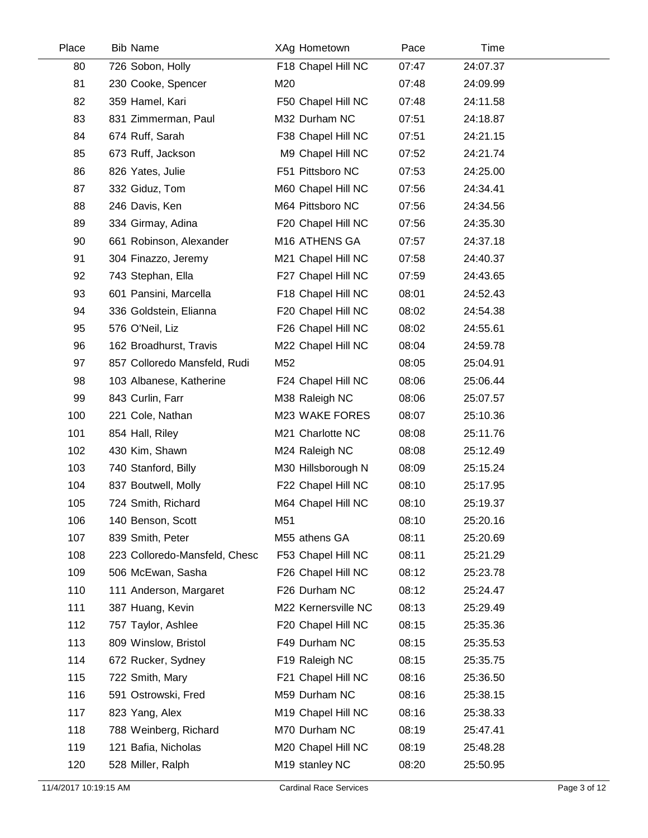| Place | <b>Bib Name</b>               | XAg Hometown              | Pace  | Time     |  |
|-------|-------------------------------|---------------------------|-------|----------|--|
| 80    | 726 Sobon, Holly              | F18 Chapel Hill NC        | 07:47 | 24:07.37 |  |
| 81    | 230 Cooke, Spencer            | M20                       | 07:48 | 24:09.99 |  |
| 82    | 359 Hamel, Kari               | F50 Chapel Hill NC        | 07:48 | 24:11.58 |  |
| 83    | 831 Zimmerman, Paul           | M32 Durham NC             | 07:51 | 24:18.87 |  |
| 84    | 674 Ruff, Sarah               | F38 Chapel Hill NC        | 07:51 | 24:21.15 |  |
| 85    | 673 Ruff, Jackson             | M9 Chapel Hill NC         | 07:52 | 24:21.74 |  |
| 86    | 826 Yates, Julie              | F51 Pittsboro NC          | 07:53 | 24:25.00 |  |
| 87    | 332 Giduz, Tom                | M60 Chapel Hill NC        | 07:56 | 24:34.41 |  |
| 88    | 246 Davis, Ken                | M64 Pittsboro NC          | 07:56 | 24:34.56 |  |
| 89    | 334 Girmay, Adina             | F20 Chapel Hill NC        | 07:56 | 24:35.30 |  |
| 90    | 661 Robinson, Alexander       | M <sub>16</sub> ATHENS GA | 07:57 | 24:37.18 |  |
| 91    | 304 Finazzo, Jeremy           | M21 Chapel Hill NC        | 07:58 | 24:40.37 |  |
| 92    | 743 Stephan, Ella             | F27 Chapel Hill NC        | 07:59 | 24:43.65 |  |
| 93    | 601 Pansini, Marcella         | F18 Chapel Hill NC        | 08:01 | 24:52.43 |  |
| 94    | 336 Goldstein, Elianna        | F20 Chapel Hill NC        | 08:02 | 24:54.38 |  |
| 95    | 576 O'Neil, Liz               | F26 Chapel Hill NC        | 08:02 | 24:55.61 |  |
| 96    | 162 Broadhurst, Travis        | M22 Chapel Hill NC        | 08:04 | 24:59.78 |  |
| 97    | 857 Colloredo Mansfeld, Rudi  | M52                       | 08:05 | 25:04.91 |  |
| 98    | 103 Albanese, Katherine       | F24 Chapel Hill NC        | 08:06 | 25:06.44 |  |
| 99    | 843 Curlin, Farr              | M38 Raleigh NC            | 08:06 | 25:07.57 |  |
| 100   | 221 Cole, Nathan              | M23 WAKE FORES            | 08:07 | 25:10.36 |  |
| 101   | 854 Hall, Riley               | M21 Charlotte NC          | 08:08 | 25:11.76 |  |
| 102   | 430 Kim, Shawn                | M24 Raleigh NC            | 08:08 | 25:12.49 |  |
| 103   | 740 Stanford, Billy           | M30 Hillsborough N        | 08:09 | 25:15.24 |  |
| 104   | 837 Boutwell, Molly           | F22 Chapel Hill NC        | 08:10 | 25:17.95 |  |
| 105   | 724 Smith, Richard            | M64 Chapel Hill NC        | 08:10 | 25:19.37 |  |
| 106   | 140 Benson, Scott             | M51                       | 08:10 | 25:20.16 |  |
| 107   | 839 Smith, Peter              | M55 athens GA             | 08:11 | 25:20.69 |  |
| 108   | 223 Colloredo-Mansfeld, Chesc | F53 Chapel Hill NC        | 08:11 | 25:21.29 |  |
| 109   | 506 McEwan, Sasha             | F26 Chapel Hill NC        | 08:12 | 25:23.78 |  |
| 110   | 111 Anderson, Margaret        | F26 Durham NC             | 08:12 | 25:24.47 |  |
| 111   | 387 Huang, Kevin              | M22 Kernersville NC       | 08:13 | 25:29.49 |  |
| 112   | 757 Taylor, Ashlee            | F20 Chapel Hill NC        | 08:15 | 25:35.36 |  |
| 113   | 809 Winslow, Bristol          | F49 Durham NC             | 08:15 | 25:35.53 |  |
| 114   | 672 Rucker, Sydney            | F19 Raleigh NC            | 08:15 | 25:35.75 |  |
| 115   | 722 Smith, Mary               | F21 Chapel Hill NC        | 08:16 | 25:36.50 |  |
| 116   | 591 Ostrowski, Fred           | M59 Durham NC             | 08:16 | 25:38.15 |  |
| 117   | 823 Yang, Alex                | M19 Chapel Hill NC        | 08:16 | 25:38.33 |  |
| 118   | 788 Weinberg, Richard         | M70 Durham NC             | 08:19 | 25:47.41 |  |
| 119   | 121 Bafia, Nicholas           | M20 Chapel Hill NC        | 08:19 | 25:48.28 |  |
| 120   | 528 Miller, Ralph             | M19 stanley NC            | 08:20 | 25:50.95 |  |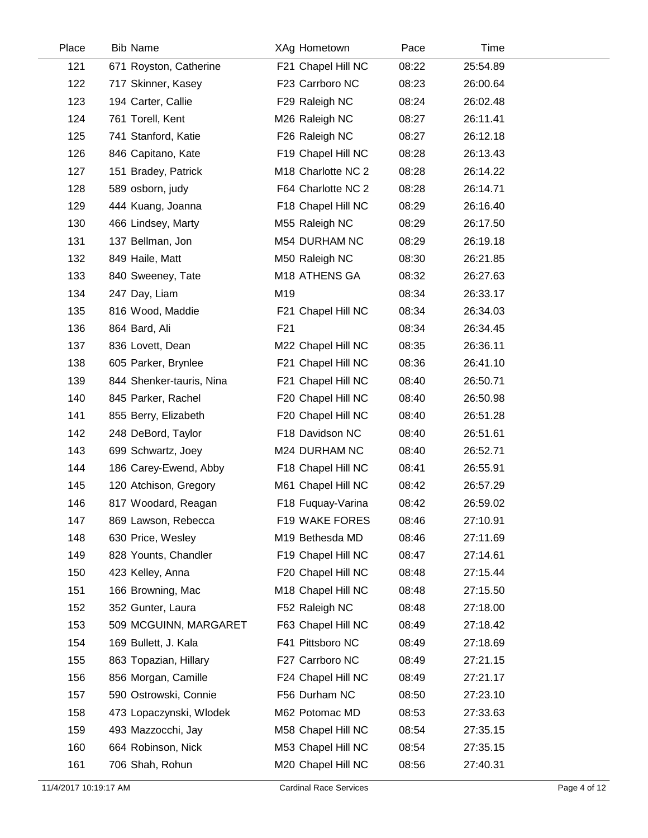| Place | <b>Bib Name</b>          | XAg Hometown                   | Pace  | Time     |  |
|-------|--------------------------|--------------------------------|-------|----------|--|
| 121   | 671 Royston, Catherine   | F21 Chapel Hill NC             | 08:22 | 25:54.89 |  |
| 122   | 717 Skinner, Kasey       | F23 Carrboro NC                | 08:23 | 26:00.64 |  |
| 123   | 194 Carter, Callie       | F29 Raleigh NC                 | 08:24 | 26:02.48 |  |
| 124   | 761 Torell, Kent         | M26 Raleigh NC                 | 08:27 | 26:11.41 |  |
| 125   | 741 Stanford, Katie      | F26 Raleigh NC                 | 08:27 | 26:12.18 |  |
| 126   | 846 Capitano, Kate       | F19 Chapel Hill NC             | 08:28 | 26:13.43 |  |
| 127   | 151 Bradey, Patrick      | M <sub>18</sub> Charlotte NC 2 | 08:28 | 26:14.22 |  |
| 128   | 589 osborn, judy         | F64 Charlotte NC 2             | 08:28 | 26:14.71 |  |
| 129   | 444 Kuang, Joanna        | F18 Chapel Hill NC             | 08:29 | 26:16.40 |  |
| 130   | 466 Lindsey, Marty       | M55 Raleigh NC                 | 08:29 | 26:17.50 |  |
| 131   | 137 Bellman, Jon         | M54 DURHAM NC                  | 08:29 | 26:19.18 |  |
| 132   | 849 Haile, Matt          | M50 Raleigh NC                 | 08:30 | 26:21.85 |  |
| 133   | 840 Sweeney, Tate        | M <sub>18</sub> ATHENS GA      | 08:32 | 26:27.63 |  |
| 134   | 247 Day, Liam            | M19                            | 08:34 | 26:33.17 |  |
| 135   | 816 Wood, Maddie         | F21 Chapel Hill NC             | 08:34 | 26:34.03 |  |
| 136   | 864 Bard, Ali            | F <sub>21</sub>                | 08:34 | 26:34.45 |  |
| 137   | 836 Lovett, Dean         | M22 Chapel Hill NC             | 08:35 | 26:36.11 |  |
| 138   | 605 Parker, Brynlee      | F21 Chapel Hill NC             | 08:36 | 26:41.10 |  |
| 139   | 844 Shenker-tauris, Nina | F21 Chapel Hill NC             | 08:40 | 26:50.71 |  |
| 140   | 845 Parker, Rachel       | F20 Chapel Hill NC             | 08:40 | 26:50.98 |  |
| 141   | 855 Berry, Elizabeth     | F20 Chapel Hill NC             | 08:40 | 26:51.28 |  |
| 142   | 248 DeBord, Taylor       | F18 Davidson NC                | 08:40 | 26:51.61 |  |
| 143   | 699 Schwartz, Joey       | M24 DURHAM NC                  | 08:40 | 26:52.71 |  |
| 144   | 186 Carey-Ewend, Abby    | F18 Chapel Hill NC             | 08:41 | 26:55.91 |  |
| 145   | 120 Atchison, Gregory    | M61 Chapel Hill NC             | 08:42 | 26:57.29 |  |
| 146   | 817 Woodard, Reagan      | F18 Fuquay-Varina              | 08:42 | 26:59.02 |  |
| 147   | 869 Lawson, Rebecca      | F19 WAKE FORES                 | 08:46 | 27:10.91 |  |
| 148   | 630 Price, Wesley        | M19 Bethesda MD                | 08:46 | 27:11.69 |  |
| 149   | 828 Younts, Chandler     | F19 Chapel Hill NC             | 08:47 | 27:14.61 |  |
| 150   | 423 Kelley, Anna         | F20 Chapel Hill NC             | 08:48 | 27:15.44 |  |
| 151   | 166 Browning, Mac        | M18 Chapel Hill NC             | 08:48 | 27:15.50 |  |
| 152   | 352 Gunter, Laura        | F52 Raleigh NC                 | 08:48 | 27:18.00 |  |
| 153   | 509 MCGUINN, MARGARET    | F63 Chapel Hill NC             | 08:49 | 27:18.42 |  |
| 154   | 169 Bullett, J. Kala     | F41 Pittsboro NC               | 08:49 | 27:18.69 |  |
| 155   | 863 Topazian, Hillary    | F27 Carrboro NC                | 08:49 | 27:21.15 |  |
| 156   | 856 Morgan, Camille      | F24 Chapel Hill NC             | 08:49 | 27:21.17 |  |
| 157   | 590 Ostrowski, Connie    | F56 Durham NC                  | 08:50 | 27:23.10 |  |
| 158   | 473 Lopaczynski, Wlodek  | M62 Potomac MD                 | 08:53 | 27:33.63 |  |
| 159   | 493 Mazzocchi, Jay       | M58 Chapel Hill NC             | 08:54 | 27:35.15 |  |
| 160   | 664 Robinson, Nick       | M53 Chapel Hill NC             | 08:54 | 27:35.15 |  |
| 161   | 706 Shah, Rohun          | M20 Chapel Hill NC             | 08:56 | 27:40.31 |  |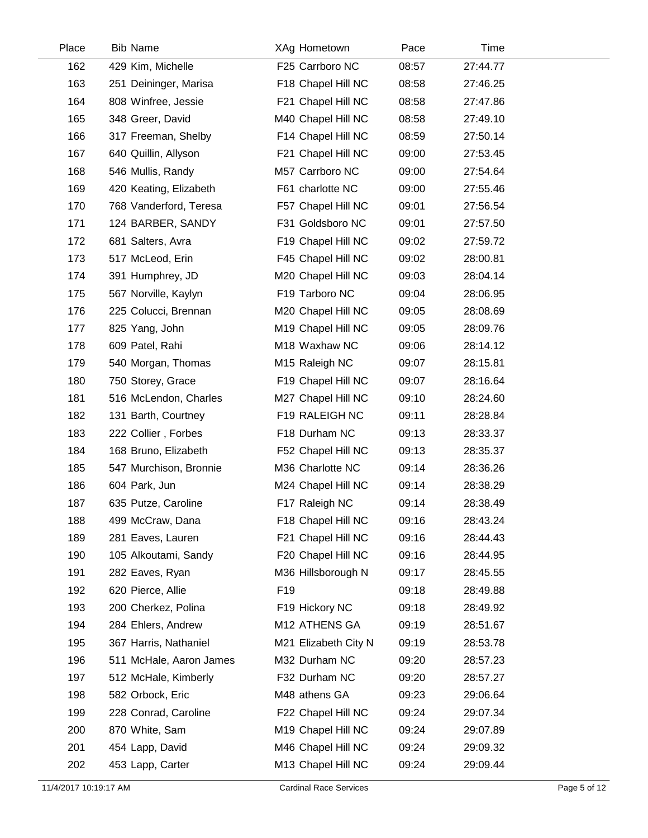| Place | <b>Bib Name</b>         | XAg Hometown         | Pace  | Time     |  |
|-------|-------------------------|----------------------|-------|----------|--|
| 162   | 429 Kim, Michelle       | F25 Carrboro NC      | 08:57 | 27:44.77 |  |
| 163   | 251 Deininger, Marisa   | F18 Chapel Hill NC   | 08:58 | 27:46.25 |  |
| 164   | 808 Winfree, Jessie     | F21 Chapel Hill NC   | 08:58 | 27:47.86 |  |
| 165   | 348 Greer, David        | M40 Chapel Hill NC   | 08:58 | 27:49.10 |  |
| 166   | 317 Freeman, Shelby     | F14 Chapel Hill NC   | 08:59 | 27:50.14 |  |
| 167   | 640 Quillin, Allyson    | F21 Chapel Hill NC   | 09:00 | 27:53.45 |  |
| 168   | 546 Mullis, Randy       | M57 Carrboro NC      | 09:00 | 27:54.64 |  |
| 169   | 420 Keating, Elizabeth  | F61 charlotte NC     | 09:00 | 27:55.46 |  |
| 170   | 768 Vanderford, Teresa  | F57 Chapel Hill NC   | 09:01 | 27:56.54 |  |
| 171   | 124 BARBER, SANDY       | F31 Goldsboro NC     | 09:01 | 27:57.50 |  |
| 172   | 681 Salters, Avra       | F19 Chapel Hill NC   | 09:02 | 27:59.72 |  |
| 173   | 517 McLeod, Erin        | F45 Chapel Hill NC   | 09:02 | 28:00.81 |  |
| 174   | 391 Humphrey, JD        | M20 Chapel Hill NC   | 09:03 | 28:04.14 |  |
| 175   | 567 Norville, Kaylyn    | F19 Tarboro NC       | 09:04 | 28:06.95 |  |
| 176   | 225 Colucci, Brennan    | M20 Chapel Hill NC   | 09:05 | 28:08.69 |  |
| 177   | 825 Yang, John          | M19 Chapel Hill NC   | 09:05 | 28:09.76 |  |
| 178   | 609 Patel, Rahi         | M18 Waxhaw NC        | 09:06 | 28:14.12 |  |
| 179   | 540 Morgan, Thomas      | M15 Raleigh NC       | 09:07 | 28:15.81 |  |
| 180   | 750 Storey, Grace       | F19 Chapel Hill NC   | 09:07 | 28:16.64 |  |
| 181   | 516 McLendon, Charles   | M27 Chapel Hill NC   | 09:10 | 28:24.60 |  |
| 182   | 131 Barth, Courtney     | F19 RALEIGH NC       | 09:11 | 28:28.84 |  |
| 183   | 222 Collier, Forbes     | F18 Durham NC        | 09:13 | 28:33.37 |  |
| 184   | 168 Bruno, Elizabeth    | F52 Chapel Hill NC   | 09:13 | 28:35.37 |  |
| 185   | 547 Murchison, Bronnie  | M36 Charlotte NC     | 09:14 | 28:36.26 |  |
| 186   | 604 Park, Jun           | M24 Chapel Hill NC   | 09:14 | 28:38.29 |  |
| 187   | 635 Putze, Caroline     | F17 Raleigh NC       | 09:14 | 28:38.49 |  |
| 188   | 499 McCraw, Dana        | F18 Chapel Hill NC   | 09:16 | 28:43.24 |  |
| 189   | 281 Eaves, Lauren       | F21 Chapel Hill NC   | 09:16 | 28:44.43 |  |
| 190   | 105 Alkoutami, Sandy    | F20 Chapel Hill NC   | 09:16 | 28:44.95 |  |
| 191   | 282 Eaves, Ryan         | M36 Hillsborough N   | 09:17 | 28:45.55 |  |
| 192   | 620 Pierce, Allie       | F <sub>19</sub>      | 09:18 | 28:49.88 |  |
| 193   | 200 Cherkez, Polina     | F19 Hickory NC       | 09:18 | 28:49.92 |  |
| 194   | 284 Ehlers, Andrew      | M12 ATHENS GA        | 09:19 | 28:51.67 |  |
| 195   | 367 Harris, Nathaniel   | M21 Elizabeth City N | 09:19 | 28:53.78 |  |
| 196   | 511 McHale, Aaron James | M32 Durham NC        | 09:20 | 28:57.23 |  |
| 197   | 512 McHale, Kimberly    | F32 Durham NC        | 09:20 | 28:57.27 |  |
| 198   | 582 Orbock, Eric        | M48 athens GA        | 09:23 | 29:06.64 |  |
| 199   | 228 Conrad, Caroline    | F22 Chapel Hill NC   | 09:24 | 29:07.34 |  |
| 200   | 870 White, Sam          | M19 Chapel Hill NC   | 09:24 | 29:07.89 |  |
| 201   | 454 Lapp, David         | M46 Chapel Hill NC   | 09:24 | 29:09.32 |  |
| 202   | 453 Lapp, Carter        | M13 Chapel Hill NC   | 09:24 | 29:09.44 |  |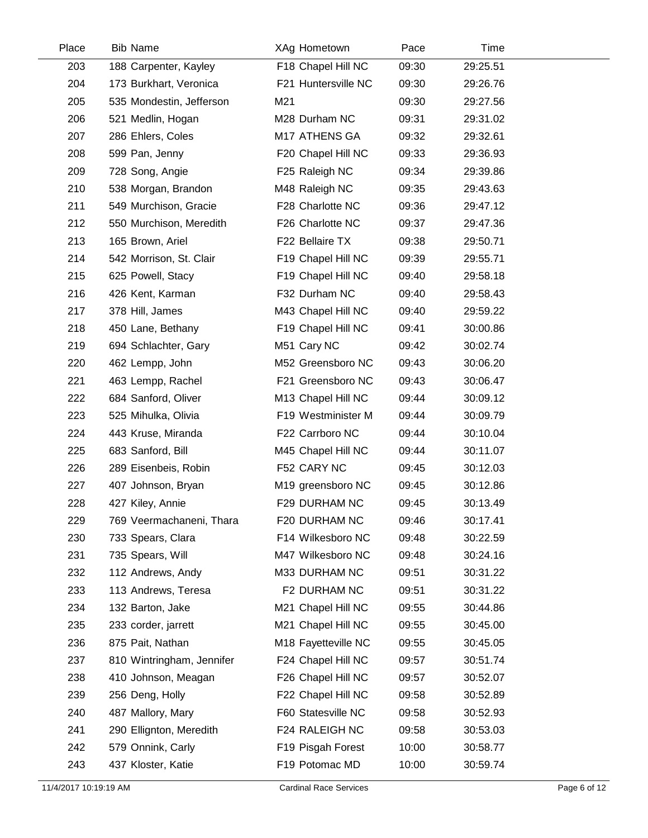| Place | <b>Bib Name</b>           | XAg Hometown        | Pace  | Time     |  |
|-------|---------------------------|---------------------|-------|----------|--|
| 203   | 188 Carpenter, Kayley     | F18 Chapel Hill NC  | 09:30 | 29:25.51 |  |
| 204   | 173 Burkhart, Veronica    | F21 Huntersville NC | 09:30 | 29:26.76 |  |
| 205   | 535 Mondestin, Jefferson  | M21                 | 09:30 | 29:27.56 |  |
| 206   | 521 Medlin, Hogan         | M28 Durham NC       | 09:31 | 29:31.02 |  |
| 207   | 286 Ehlers, Coles         | M17 ATHENS GA       | 09:32 | 29:32.61 |  |
| 208   | 599 Pan, Jenny            | F20 Chapel Hill NC  | 09:33 | 29:36.93 |  |
| 209   | 728 Song, Angie           | F25 Raleigh NC      | 09:34 | 29:39.86 |  |
| 210   | 538 Morgan, Brandon       | M48 Raleigh NC      | 09:35 | 29:43.63 |  |
| 211   | 549 Murchison, Gracie     | F28 Charlotte NC    | 09:36 | 29:47.12 |  |
| 212   | 550 Murchison, Meredith   | F26 Charlotte NC    | 09:37 | 29:47.36 |  |
| 213   | 165 Brown, Ariel          | F22 Bellaire TX     | 09:38 | 29:50.71 |  |
| 214   | 542 Morrison, St. Clair   | F19 Chapel Hill NC  | 09:39 | 29:55.71 |  |
| 215   | 625 Powell, Stacy         | F19 Chapel Hill NC  | 09:40 | 29:58.18 |  |
| 216   | 426 Kent, Karman          | F32 Durham NC       | 09:40 | 29:58.43 |  |
| 217   | 378 Hill, James           | M43 Chapel Hill NC  | 09:40 | 29:59.22 |  |
| 218   | 450 Lane, Bethany         | F19 Chapel Hill NC  | 09:41 | 30:00.86 |  |
| 219   | 694 Schlachter, Gary      | M51 Cary NC         | 09:42 | 30:02.74 |  |
| 220   | 462 Lempp, John           | M52 Greensboro NC   | 09:43 | 30:06.20 |  |
| 221   | 463 Lempp, Rachel         | F21 Greensboro NC   | 09:43 | 30:06.47 |  |
| 222   | 684 Sanford, Oliver       | M13 Chapel Hill NC  | 09:44 | 30:09.12 |  |
| 223   | 525 Mihulka, Olivia       | F19 Westminister M  | 09:44 | 30:09.79 |  |
| 224   | 443 Kruse, Miranda        | F22 Carrboro NC     | 09:44 | 30:10.04 |  |
| 225   | 683 Sanford, Bill         | M45 Chapel Hill NC  | 09:44 | 30:11.07 |  |
| 226   | 289 Eisenbeis, Robin      | F52 CARY NC         | 09:45 | 30:12.03 |  |
| 227   | 407 Johnson, Bryan        | M19 greensboro NC   | 09:45 | 30:12.86 |  |
| 228   | 427 Kiley, Annie          | F29 DURHAM NC       | 09:45 | 30:13.49 |  |
| 229   | 769 Veermachaneni, Thara  | F20 DURHAM NC       | 09:46 | 30:17.41 |  |
| 230   | 733 Spears, Clara         | F14 Wilkesboro NC   | 09:48 | 30:22.59 |  |
| 231   | 735 Spears, Will          | M47 Wilkesboro NC   | 09:48 | 30:24.16 |  |
| 232   | 112 Andrews, Andy         | M33 DURHAM NC       | 09:51 | 30:31.22 |  |
| 233   | 113 Andrews, Teresa       | F2 DURHAM NC        | 09:51 | 30:31.22 |  |
| 234   | 132 Barton, Jake          | M21 Chapel Hill NC  | 09:55 | 30:44.86 |  |
| 235   | 233 corder, jarrett       | M21 Chapel Hill NC  | 09:55 | 30:45.00 |  |
| 236   | 875 Pait, Nathan          | M18 Fayetteville NC | 09:55 | 30:45.05 |  |
| 237   | 810 Wintringham, Jennifer | F24 Chapel Hill NC  | 09:57 | 30:51.74 |  |
| 238   | 410 Johnson, Meagan       | F26 Chapel Hill NC  | 09:57 | 30:52.07 |  |
| 239   | 256 Deng, Holly           | F22 Chapel Hill NC  | 09:58 | 30:52.89 |  |
| 240   | 487 Mallory, Mary         | F60 Statesville NC  | 09:58 | 30:52.93 |  |
| 241   | 290 Ellignton, Meredith   | F24 RALEIGH NC      | 09:58 | 30:53.03 |  |
| 242   | 579 Onnink, Carly         | F19 Pisgah Forest   | 10:00 | 30:58.77 |  |
| 243   | 437 Kloster, Katie        | F19 Potomac MD      | 10:00 | 30:59.74 |  |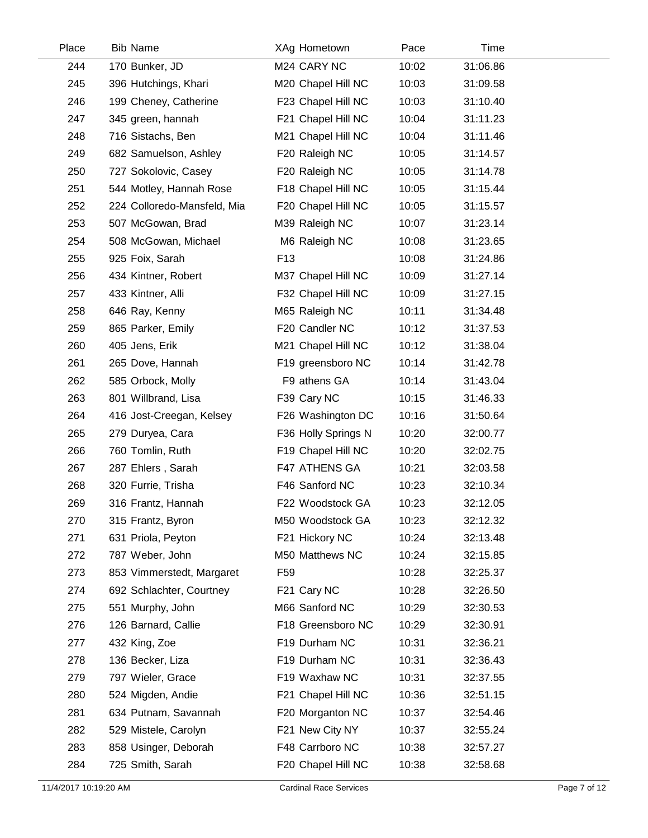| Place | <b>Bib Name</b>             | XAg Hometown        | Pace  | Time     |  |
|-------|-----------------------------|---------------------|-------|----------|--|
| 244   | 170 Bunker, JD              | M24 CARY NC         | 10:02 | 31:06.86 |  |
| 245   | 396 Hutchings, Khari        | M20 Chapel Hill NC  | 10:03 | 31:09.58 |  |
| 246   | 199 Cheney, Catherine       | F23 Chapel Hill NC  | 10:03 | 31:10.40 |  |
| 247   | 345 green, hannah           | F21 Chapel Hill NC  | 10:04 | 31:11.23 |  |
| 248   | 716 Sistachs, Ben           | M21 Chapel Hill NC  | 10:04 | 31:11.46 |  |
| 249   | 682 Samuelson, Ashley       | F20 Raleigh NC      | 10:05 | 31:14.57 |  |
| 250   | 727 Sokolovic, Casey        | F20 Raleigh NC      | 10:05 | 31:14.78 |  |
| 251   | 544 Motley, Hannah Rose     | F18 Chapel Hill NC  | 10:05 | 31:15.44 |  |
| 252   | 224 Colloredo-Mansfeld, Mia | F20 Chapel Hill NC  | 10:05 | 31:15.57 |  |
| 253   | 507 McGowan, Brad           | M39 Raleigh NC      | 10:07 | 31:23.14 |  |
| 254   | 508 McGowan, Michael        | M6 Raleigh NC       | 10:08 | 31:23.65 |  |
| 255   | 925 Foix, Sarah             | F <sub>13</sub>     | 10:08 | 31:24.86 |  |
| 256   | 434 Kintner, Robert         | M37 Chapel Hill NC  | 10:09 | 31:27.14 |  |
| 257   | 433 Kintner, Alli           | F32 Chapel Hill NC  | 10:09 | 31:27.15 |  |
| 258   | 646 Ray, Kenny              | M65 Raleigh NC      | 10:11 | 31:34.48 |  |
| 259   | 865 Parker, Emily           | F20 Candler NC      | 10:12 | 31:37.53 |  |
| 260   | 405 Jens, Erik              | M21 Chapel Hill NC  | 10:12 | 31:38.04 |  |
| 261   | 265 Dove, Hannah            | F19 greensboro NC   | 10:14 | 31:42.78 |  |
| 262   | 585 Orbock, Molly           | F9 athens GA        | 10:14 | 31:43.04 |  |
| 263   | 801 Willbrand, Lisa         | F39 Cary NC         | 10:15 | 31:46.33 |  |
| 264   | 416 Jost-Creegan, Kelsey    | F26 Washington DC   | 10:16 | 31:50.64 |  |
| 265   | 279 Duryea, Cara            | F36 Holly Springs N | 10:20 | 32:00.77 |  |
| 266   | 760 Tomlin, Ruth            | F19 Chapel Hill NC  | 10:20 | 32:02.75 |  |
| 267   | 287 Ehlers, Sarah           | F47 ATHENS GA       | 10:21 | 32:03.58 |  |
| 268   | 320 Furrie, Trisha          | F46 Sanford NC      | 10:23 | 32:10.34 |  |
| 269   | 316 Frantz, Hannah          | F22 Woodstock GA    | 10:23 | 32:12.05 |  |
| 270   | 315 Frantz, Byron           | M50 Woodstock GA    | 10:23 | 32:12.32 |  |
| 271   | 631 Priola, Peyton          | F21 Hickory NC      | 10:24 | 32:13.48 |  |
| 272   | 787 Weber, John             | M50 Matthews NC     | 10:24 | 32:15.85 |  |
| 273   | 853 Vimmerstedt, Margaret   | F <sub>59</sub>     | 10:28 | 32:25.37 |  |
| 274   | 692 Schlachter, Courtney    | F21 Cary NC         | 10:28 | 32:26.50 |  |
| 275   | 551 Murphy, John            | M66 Sanford NC      | 10:29 | 32:30.53 |  |
| 276   | 126 Barnard, Callie         | F18 Greensboro NC   | 10:29 | 32:30.91 |  |
| 277   | 432 King, Zoe               | F19 Durham NC       | 10:31 | 32:36.21 |  |
| 278   | 136 Becker, Liza            | F19 Durham NC       | 10:31 | 32:36.43 |  |
| 279   | 797 Wieler, Grace           | F19 Waxhaw NC       | 10:31 | 32:37.55 |  |
| 280   | 524 Migden, Andie           | F21 Chapel Hill NC  | 10:36 | 32:51.15 |  |
| 281   | 634 Putnam, Savannah        | F20 Morganton NC    | 10:37 | 32:54.46 |  |
| 282   | 529 Mistele, Carolyn        | F21 New City NY     | 10:37 | 32:55.24 |  |
| 283   | 858 Usinger, Deborah        | F48 Carrboro NC     | 10:38 | 32:57.27 |  |
| 284   | 725 Smith, Sarah            | F20 Chapel Hill NC  | 10:38 | 32:58.68 |  |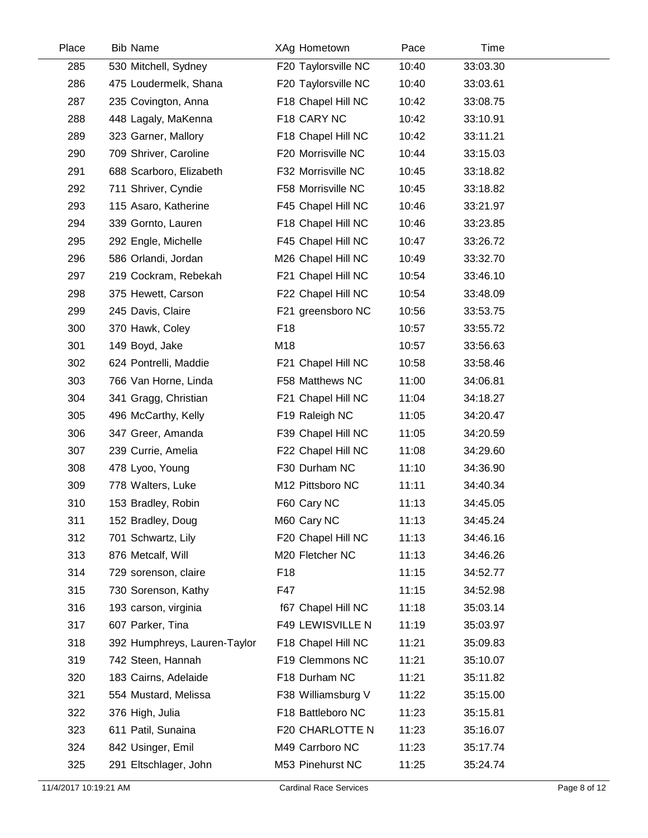| Place | <b>Bib Name</b>              | XAg Hometown           | Pace  | Time     |  |
|-------|------------------------------|------------------------|-------|----------|--|
| 285   | 530 Mitchell, Sydney         | F20 Taylorsville NC    | 10:40 | 33:03.30 |  |
| 286   | 475 Loudermelk, Shana        | F20 Taylorsville NC    | 10:40 | 33:03.61 |  |
| 287   | 235 Covington, Anna          | F18 Chapel Hill NC     | 10:42 | 33:08.75 |  |
| 288   | 448 Lagaly, MaKenna          | F18 CARY NC            | 10:42 | 33:10.91 |  |
| 289   | 323 Garner, Mallory          | F18 Chapel Hill NC     | 10:42 | 33:11.21 |  |
| 290   | 709 Shriver, Caroline        | F20 Morrisville NC     | 10:44 | 33:15.03 |  |
| 291   | 688 Scarboro, Elizabeth      | F32 Morrisville NC     | 10:45 | 33:18.82 |  |
| 292   | 711 Shriver, Cyndie          | F58 Morrisville NC     | 10:45 | 33:18.82 |  |
| 293   | 115 Asaro, Katherine         | F45 Chapel Hill NC     | 10:46 | 33:21.97 |  |
| 294   | 339 Gornto, Lauren           | F18 Chapel Hill NC     | 10:46 | 33:23.85 |  |
| 295   | 292 Engle, Michelle          | F45 Chapel Hill NC     | 10:47 | 33:26.72 |  |
| 296   | 586 Orlandi, Jordan          | M26 Chapel Hill NC     | 10:49 | 33:32.70 |  |
| 297   | 219 Cockram, Rebekah         | F21 Chapel Hill NC     | 10:54 | 33:46.10 |  |
| 298   | 375 Hewett, Carson           | F22 Chapel Hill NC     | 10:54 | 33:48.09 |  |
| 299   | 245 Davis, Claire            | F21 greensboro NC      | 10:56 | 33:53.75 |  |
| 300   | 370 Hawk, Coley              | F18                    | 10:57 | 33:55.72 |  |
| 301   | 149 Boyd, Jake               | M18                    | 10:57 | 33:56.63 |  |
| 302   | 624 Pontrelli, Maddie        | F21 Chapel Hill NC     | 10:58 | 33:58.46 |  |
| 303   | 766 Van Horne, Linda         | F58 Matthews NC        | 11:00 | 34:06.81 |  |
| 304   | 341 Gragg, Christian         | F21 Chapel Hill NC     | 11:04 | 34:18.27 |  |
| 305   | 496 McCarthy, Kelly          | F19 Raleigh NC         | 11:05 | 34:20.47 |  |
| 306   | 347 Greer, Amanda            | F39 Chapel Hill NC     | 11:05 | 34:20.59 |  |
| 307   | 239 Currie, Amelia           | F22 Chapel Hill NC     | 11:08 | 34:29.60 |  |
| 308   | 478 Lyoo, Young              | F30 Durham NC          | 11:10 | 34:36.90 |  |
| 309   | 778 Walters, Luke            | M12 Pittsboro NC       | 11:11 | 34:40.34 |  |
| 310   | 153 Bradley, Robin           | F60 Cary NC            | 11:13 | 34:45.05 |  |
| 311   | 152 Bradley, Doug            | M60 Cary NC            | 11:13 | 34:45.24 |  |
| 312   | 701 Schwartz, Lily           | F20 Chapel Hill NC     | 11:13 | 34:46.16 |  |
| 313   | 876 Metcalf, Will            | M20 Fletcher NC        | 11:13 | 34:46.26 |  |
| 314   | 729 sorenson, claire         | F <sub>18</sub>        | 11:15 | 34:52.77 |  |
| 315   | 730 Sorenson, Kathy          | F47                    | 11:15 | 34:52.98 |  |
| 316   | 193 carson, virginia         | f67 Chapel Hill NC     | 11:18 | 35:03.14 |  |
| 317   | 607 Parker, Tina             | F49 LEWISVILLE N       | 11:19 | 35:03.97 |  |
| 318   | 392 Humphreys, Lauren-Taylor | F18 Chapel Hill NC     | 11:21 | 35:09.83 |  |
| 319   | 742 Steen, Hannah            | F19 Clemmons NC        | 11:21 | 35:10.07 |  |
| 320   | 183 Cairns, Adelaide         | F18 Durham NC          | 11:21 | 35:11.82 |  |
| 321   | 554 Mustard, Melissa         | F38 Williamsburg V     | 11:22 | 35:15.00 |  |
| 322   | 376 High, Julia              | F18 Battleboro NC      | 11:23 | 35:15.81 |  |
| 323   | 611 Patil, Sunaina           | <b>F20 CHARLOTTE N</b> | 11:23 | 35:16.07 |  |
| 324   | 842 Usinger, Emil            | M49 Carrboro NC        | 11:23 | 35:17.74 |  |
| 325   | 291 Eltschlager, John        | M53 Pinehurst NC       | 11:25 | 35:24.74 |  |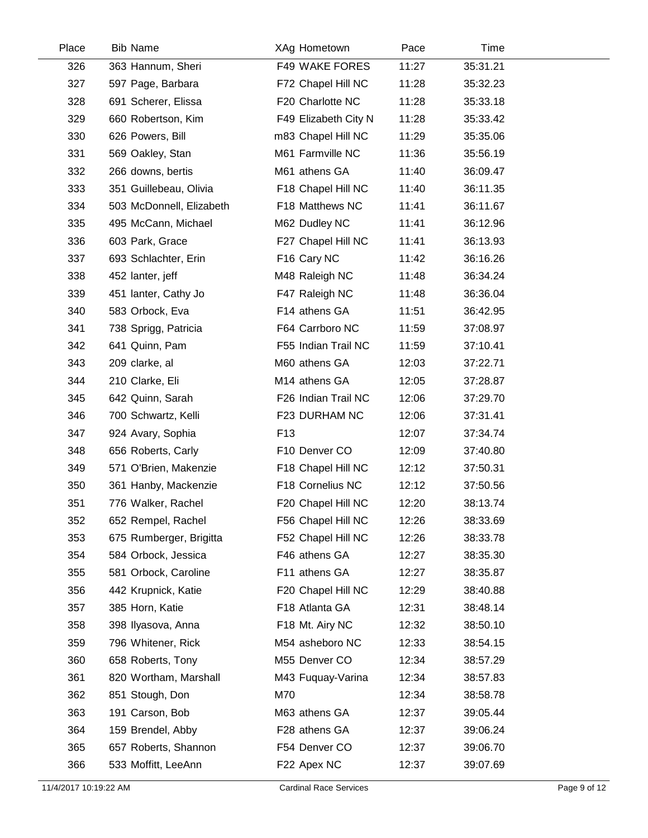| Place | <b>Bib Name</b>          | XAg Hometown         | Pace  | Time     |  |
|-------|--------------------------|----------------------|-------|----------|--|
| 326   | 363 Hannum, Sheri        | F49 WAKE FORES       | 11:27 | 35:31.21 |  |
| 327   | 597 Page, Barbara        | F72 Chapel Hill NC   | 11:28 | 35:32.23 |  |
| 328   | 691 Scherer, Elissa      | F20 Charlotte NC     | 11:28 | 35:33.18 |  |
| 329   | 660 Robertson, Kim       | F49 Elizabeth City N | 11:28 | 35:33.42 |  |
| 330   | 626 Powers, Bill         | m83 Chapel Hill NC   | 11:29 | 35:35.06 |  |
| 331   | 569 Oakley, Stan         | M61 Farmville NC     | 11:36 | 35:56.19 |  |
| 332   | 266 downs, bertis        | M61 athens GA        | 11:40 | 36:09.47 |  |
| 333   | 351 Guillebeau, Olivia   | F18 Chapel Hill NC   | 11:40 | 36:11.35 |  |
| 334   | 503 McDonnell, Elizabeth | F18 Matthews NC      | 11:41 | 36:11.67 |  |
| 335   | 495 McCann, Michael      | M62 Dudley NC        | 11:41 | 36:12.96 |  |
| 336   | 603 Park, Grace          | F27 Chapel Hill NC   | 11:41 | 36:13.93 |  |
| 337   | 693 Schlachter, Erin     | F16 Cary NC          | 11:42 | 36:16.26 |  |
| 338   | 452 lanter, jeff         | M48 Raleigh NC       | 11:48 | 36:34.24 |  |
| 339   | 451 lanter, Cathy Jo     | F47 Raleigh NC       | 11:48 | 36:36.04 |  |
| 340   | 583 Orbock, Eva          | F14 athens GA        | 11:51 | 36:42.95 |  |
| 341   | 738 Sprigg, Patricia     | F64 Carrboro NC      | 11:59 | 37:08.97 |  |
| 342   | 641 Quinn, Pam           | F55 Indian Trail NC  | 11:59 | 37:10.41 |  |
| 343   | 209 clarke, al           | M60 athens GA        | 12:03 | 37:22.71 |  |
| 344   | 210 Clarke, Eli          | M14 athens GA        | 12:05 | 37:28.87 |  |
| 345   | 642 Quinn, Sarah         | F26 Indian Trail NC  | 12:06 | 37:29.70 |  |
| 346   | 700 Schwartz, Kelli      | F23 DURHAM NC        | 12:06 | 37:31.41 |  |
| 347   | 924 Avary, Sophia        | F <sub>13</sub>      | 12:07 | 37:34.74 |  |
| 348   | 656 Roberts, Carly       | F10 Denver CO        | 12:09 | 37:40.80 |  |
| 349   | 571 O'Brien, Makenzie    | F18 Chapel Hill NC   | 12:12 | 37:50.31 |  |
| 350   | 361 Hanby, Mackenzie     | F18 Cornelius NC     | 12:12 | 37:50.56 |  |
| 351   | 776 Walker, Rachel       | F20 Chapel Hill NC   | 12:20 | 38:13.74 |  |
| 352   | 652 Rempel, Rachel       | F56 Chapel Hill NC   | 12:26 | 38:33.69 |  |
| 353   | 675 Rumberger, Brigitta  | F52 Chapel Hill NC   | 12:26 | 38:33.78 |  |
| 354   | 584 Orbock, Jessica      | F46 athens GA        | 12:27 | 38:35.30 |  |
| 355   | 581 Orbock, Caroline     | F11 athens GA        | 12:27 | 38:35.87 |  |
| 356   | 442 Krupnick, Katie      | F20 Chapel Hill NC   | 12:29 | 38:40.88 |  |
| 357   | 385 Horn, Katie          | F18 Atlanta GA       | 12:31 | 38:48.14 |  |
| 358   | 398 Ilyasova, Anna       | F18 Mt. Airy NC      | 12:32 | 38:50.10 |  |
| 359   | 796 Whitener, Rick       | M54 asheboro NC      | 12:33 | 38:54.15 |  |
| 360   | 658 Roberts, Tony        | M55 Denver CO        | 12:34 | 38:57.29 |  |
| 361   | 820 Wortham, Marshall    | M43 Fuquay-Varina    | 12:34 | 38:57.83 |  |
| 362   | 851 Stough, Don          | M70                  | 12:34 | 38:58.78 |  |
| 363   | 191 Carson, Bob          | M63 athens GA        | 12:37 | 39:05.44 |  |
| 364   | 159 Brendel, Abby        | F28 athens GA        | 12:37 | 39:06.24 |  |
| 365   | 657 Roberts, Shannon     | F54 Denver CO        | 12:37 | 39:06.70 |  |
| 366   | 533 Moffitt, LeeAnn      | F22 Apex NC          | 12:37 | 39:07.69 |  |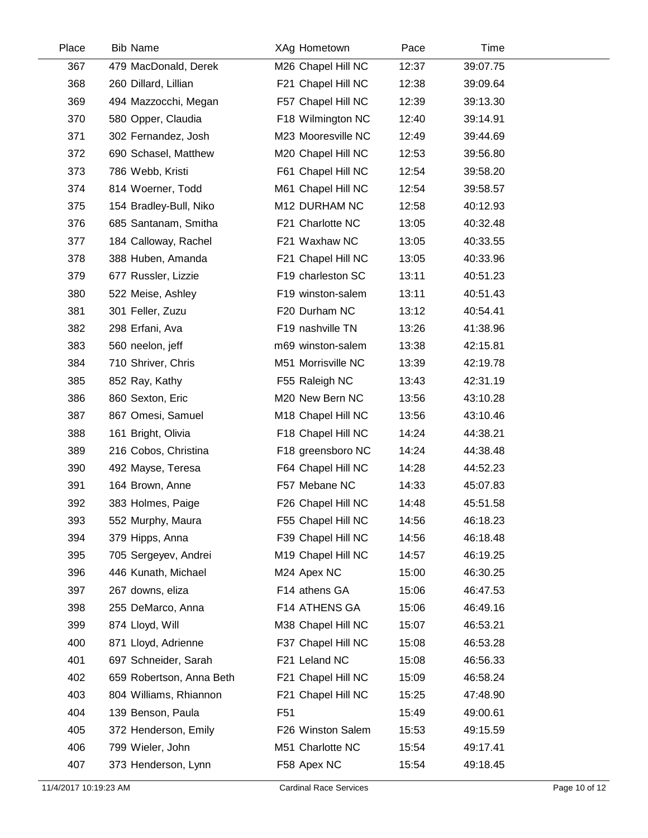| Place | <b>Bib Name</b>          | XAg Hometown       | Pace  | Time     |  |
|-------|--------------------------|--------------------|-------|----------|--|
| 367   | 479 MacDonald, Derek     | M26 Chapel Hill NC | 12:37 | 39:07.75 |  |
| 368   | 260 Dillard, Lillian     | F21 Chapel Hill NC | 12:38 | 39:09.64 |  |
| 369   | 494 Mazzocchi, Megan     | F57 Chapel Hill NC | 12:39 | 39:13.30 |  |
| 370   | 580 Opper, Claudia       | F18 Wilmington NC  | 12:40 | 39:14.91 |  |
| 371   | 302 Fernandez, Josh      | M23 Mooresville NC | 12:49 | 39:44.69 |  |
| 372   | 690 Schasel, Matthew     | M20 Chapel Hill NC | 12:53 | 39:56.80 |  |
| 373   | 786 Webb, Kristi         | F61 Chapel Hill NC | 12:54 | 39:58.20 |  |
| 374   | 814 Woerner, Todd        | M61 Chapel Hill NC | 12:54 | 39:58.57 |  |
| 375   | 154 Bradley-Bull, Niko   | M12 DURHAM NC      | 12:58 | 40:12.93 |  |
| 376   | 685 Santanam, Smitha     | F21 Charlotte NC   | 13:05 | 40:32.48 |  |
| 377   | 184 Calloway, Rachel     | F21 Waxhaw NC      | 13:05 | 40:33.55 |  |
| 378   | 388 Huben, Amanda        | F21 Chapel Hill NC | 13:05 | 40:33.96 |  |
| 379   | 677 Russler, Lizzie      | F19 charleston SC  | 13:11 | 40:51.23 |  |
| 380   | 522 Meise, Ashley        | F19 winston-salem  | 13:11 | 40:51.43 |  |
| 381   | 301 Feller, Zuzu         | F20 Durham NC      | 13:12 | 40:54.41 |  |
| 382   | 298 Erfani, Ava          | F19 nashville TN   | 13:26 | 41:38.96 |  |
| 383   | 560 neelon, jeff         | m69 winston-salem  | 13:38 | 42:15.81 |  |
| 384   | 710 Shriver, Chris       | M51 Morrisville NC | 13:39 | 42:19.78 |  |
| 385   | 852 Ray, Kathy           | F55 Raleigh NC     | 13:43 | 42:31.19 |  |
| 386   | 860 Sexton, Eric         | M20 New Bern NC    | 13:56 | 43:10.28 |  |
| 387   | 867 Omesi, Samuel        | M18 Chapel Hill NC | 13:56 | 43:10.46 |  |
| 388   | 161 Bright, Olivia       | F18 Chapel Hill NC | 14:24 | 44:38.21 |  |
| 389   | 216 Cobos, Christina     | F18 greensboro NC  | 14:24 | 44:38.48 |  |
| 390   | 492 Mayse, Teresa        | F64 Chapel Hill NC | 14:28 | 44:52.23 |  |
| 391   | 164 Brown, Anne          | F57 Mebane NC      | 14:33 | 45:07.83 |  |
| 392   | 383 Holmes, Paige        | F26 Chapel Hill NC | 14:48 | 45:51.58 |  |
| 393   | 552 Murphy, Maura        | F55 Chapel Hill NC | 14:56 | 46:18.23 |  |
| 394   | 379 Hipps, Anna          | F39 Chapel Hill NC | 14:56 | 46:18.48 |  |
| 395   | 705 Sergeyev, Andrei     | M19 Chapel Hill NC | 14:57 | 46:19.25 |  |
| 396   | 446 Kunath, Michael      | M24 Apex NC        | 15:00 | 46:30.25 |  |
| 397   | 267 downs, eliza         | F14 athens GA      | 15:06 | 46:47.53 |  |
| 398   | 255 DeMarco, Anna        | F14 ATHENS GA      | 15:06 | 46:49.16 |  |
| 399   | 874 Lloyd, Will          | M38 Chapel Hill NC | 15:07 | 46:53.21 |  |
| 400   | 871 Lloyd, Adrienne      | F37 Chapel Hill NC | 15:08 | 46:53.28 |  |
| 401   | 697 Schneider, Sarah     | F21 Leland NC      | 15:08 | 46:56.33 |  |
| 402   | 659 Robertson, Anna Beth | F21 Chapel Hill NC | 15:09 | 46:58.24 |  |
| 403   | 804 Williams, Rhiannon   | F21 Chapel Hill NC | 15:25 | 47:48.90 |  |
| 404   | 139 Benson, Paula        | F <sub>51</sub>    | 15:49 | 49:00.61 |  |
| 405   | 372 Henderson, Emily     | F26 Winston Salem  | 15:53 | 49:15.59 |  |
| 406   | 799 Wieler, John         | M51 Charlotte NC   | 15:54 | 49:17.41 |  |
| 407   | 373 Henderson, Lynn      | F58 Apex NC        | 15:54 | 49:18.45 |  |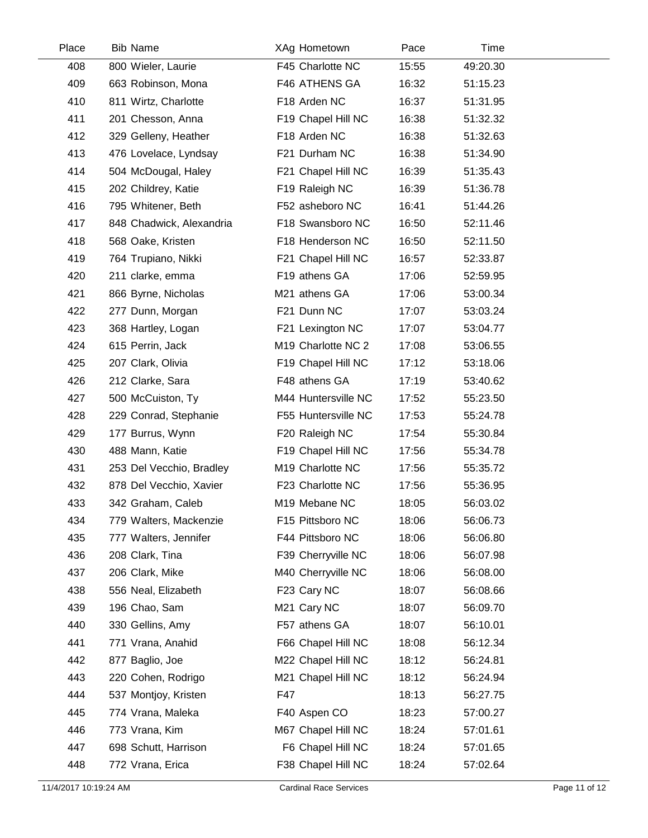| Place | <b>Bib Name</b>          | XAg Hometown                 | Pace  | Time     |  |
|-------|--------------------------|------------------------------|-------|----------|--|
| 408   | 800 Wieler, Laurie       | F45 Charlotte NC             | 15:55 | 49:20.30 |  |
| 409   | 663 Robinson, Mona       | F46 ATHENS GA                | 16:32 | 51:15.23 |  |
| 410   | 811 Wirtz, Charlotte     | F18 Arden NC                 | 16:37 | 51:31.95 |  |
| 411   | 201 Chesson, Anna        | F19 Chapel Hill NC           | 16:38 | 51:32.32 |  |
| 412   | 329 Gelleny, Heather     | F18 Arden NC                 | 16:38 | 51:32.63 |  |
| 413   | 476 Lovelace, Lyndsay    | F21 Durham NC                | 16:38 | 51:34.90 |  |
| 414   | 504 McDougal, Haley      | F21 Chapel Hill NC           | 16:39 | 51:35.43 |  |
| 415   | 202 Childrey, Katie      | F19 Raleigh NC               | 16:39 | 51:36.78 |  |
| 416   | 795 Whitener, Beth       | F52 asheboro NC              | 16:41 | 51:44.26 |  |
| 417   | 848 Chadwick, Alexandria | F18 Swansboro NC             | 16:50 | 52:11.46 |  |
| 418   | 568 Oake, Kristen        | F18 Henderson NC             | 16:50 | 52:11.50 |  |
| 419   | 764 Trupiano, Nikki      | F21 Chapel Hill NC           | 16:57 | 52:33.87 |  |
| 420   | 211 clarke, emma         | F19 athens GA                | 17:06 | 52:59.95 |  |
| 421   | 866 Byrne, Nicholas      | M21 athens GA                | 17:06 | 53:00.34 |  |
| 422   | 277 Dunn, Morgan         | F21 Dunn NC                  | 17:07 | 53:03.24 |  |
| 423   | 368 Hartley, Logan       | F21 Lexington NC             | 17:07 | 53:04.77 |  |
| 424   | 615 Perrin, Jack         | M19 Charlotte NC 2           | 17:08 | 53:06.55 |  |
| 425   | 207 Clark, Olivia        | F19 Chapel Hill NC           | 17:12 | 53:18.06 |  |
| 426   | 212 Clarke, Sara         | F48 athens GA                | 17:19 | 53:40.62 |  |
| 427   | 500 McCuiston, Ty        | M44 Huntersville NC          | 17:52 | 55:23.50 |  |
| 428   | 229 Conrad, Stephanie    | F55 Huntersville NC          | 17:53 | 55:24.78 |  |
| 429   | 177 Burrus, Wynn         | F20 Raleigh NC               | 17:54 | 55:30.84 |  |
| 430   | 488 Mann, Katie          | F19 Chapel Hill NC           | 17:56 | 55:34.78 |  |
| 431   | 253 Del Vecchio, Bradley | M <sub>19</sub> Charlotte NC | 17:56 | 55:35.72 |  |
| 432   | 878 Del Vecchio, Xavier  | F23 Charlotte NC             | 17:56 | 55:36.95 |  |
| 433   | 342 Graham, Caleb        | M19 Mebane NC                | 18:05 | 56:03.02 |  |
| 434   | 779 Walters, Mackenzie   | F15 Pittsboro NC             | 18:06 | 56:06.73 |  |
| 435   | 777 Walters, Jennifer    | F44 Pittsboro NC             | 18:06 | 56:06.80 |  |
| 436   | 208 Clark, Tina          | F39 Cherryville NC           | 18:06 | 56:07.98 |  |
| 437   | 206 Clark, Mike          | M40 Cherryville NC           | 18:06 | 56:08.00 |  |
| 438   | 556 Neal, Elizabeth      | F23 Cary NC                  | 18:07 | 56:08.66 |  |
| 439   | 196 Chao, Sam            | M21 Cary NC                  | 18:07 | 56:09.70 |  |
| 440   | 330 Gellins, Amy         | F57 athens GA                | 18:07 | 56:10.01 |  |
| 441   | 771 Vrana, Anahid        | F66 Chapel Hill NC           | 18:08 | 56:12.34 |  |
| 442   | 877 Baglio, Joe          | M22 Chapel Hill NC           | 18:12 | 56:24.81 |  |
| 443   | 220 Cohen, Rodrigo       | M21 Chapel Hill NC           | 18:12 | 56:24.94 |  |
| 444   | 537 Montjoy, Kristen     | F47                          | 18:13 | 56:27.75 |  |
| 445   | 774 Vrana, Maleka        | F40 Aspen CO                 | 18:23 | 57:00.27 |  |
| 446   | 773 Vrana, Kim           | M67 Chapel Hill NC           | 18:24 | 57:01.61 |  |
| 447   | 698 Schutt, Harrison     | F6 Chapel Hill NC            | 18:24 | 57:01.65 |  |
| 448   | 772 Vrana, Erica         | F38 Chapel Hill NC           | 18:24 | 57:02.64 |  |